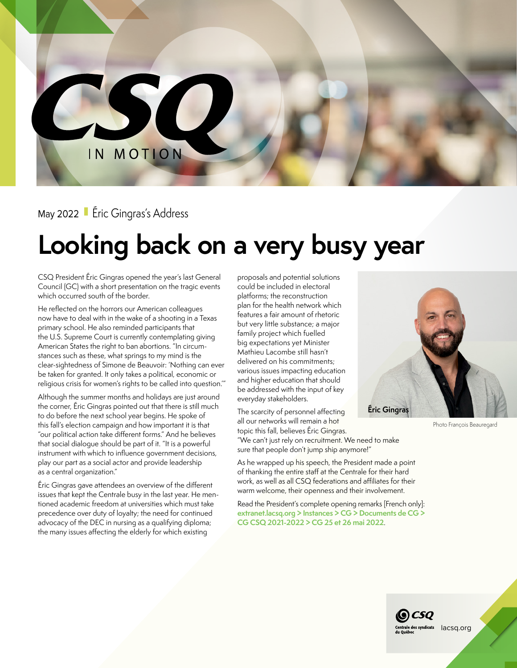IN MOTION

SO

## May 2022 Eric Gingras's Address

## **Looking back on a very busy year**

CSQ President Éric Gingras opened the year's last General Council (GC) with a short presentation on the tragic events which occurred south of the border.

He reflected on the horrors our American colleagues now have to deal with in the wake of a shooting in a Texas primary school. He also reminded participants that the U.S. Supreme Court is currently contemplating giving American States the right to ban abortions. "In circumstances such as these, what springs to my mind is the clear-sightedness of Simone de Beauvoir: 'Nothing can ever be taken for granted. It only takes a political, economic or religious crisis for women's rights to be called into question.'"

Although the summer months and holidays are just around the corner, Éric Gingras pointed out that there is still much to do before the next school year begins. He spoke of this fall's election campaign and how important it is that "our political action take different forms." And he believes that social dialogue should be part of it. "It is a powerful instrument with which to influence government decisions, play our part as a social actor and provide leadership as a central organization."

Éric Gingras gave attendees an overview of the different issues that kept the Centrale busy in the last year. He mentioned academic freedom at universities which must take precedence over duty of loyalty; the need for continued advocacy of the DEC in nursing as a qualifying diploma; the many issues affecting the elderly for which existing

proposals and potential solutions could be included in electoral platforms; the reconstruction plan for the health network which features a fair amount of rhetoric but very little substance; a major family project which fuelled big expectations yet Minister Mathieu Lacombe still hasn't delivered on his commitments; various issues impacting education and higher education that should be addressed with the input of key everyday stakeholders.

The scarcity of personnel affecting all our networks will remain a hot topic this fall, believes Éric Gingras. **Éric Gingras** Photo François Beauregard

"We can't just rely on recruitment. We need to make sure that people don't jump ship anymore!"

As he wrapped up his speech, the President made a point of thanking the entire staff at the Centrale for their hard work, as well as all CSQ federations and affiliates for their warm welcome, their openness and their involvement.

Read the President's complete opening remarks [French only]: **[extranet.lacsq.org > Instances > CG > Documents de CG >](https://adfs.lacsq.org/adfs/ls/?wa=wsignin1.0&wtrealm=urn%3asharepoint%3aextranet&wctx=https%3a%2f%2fextranet.lacsq.org%2finstance%2fcg%2f_layouts%2f15%2fAuthenticate.aspx%3fSource%3d%252Finstance%252Fcg%252FDocuments%2520partages%252FDocuments%2520CG%252DCSQ%252FCG%252DCSQ%25202021%252D2022%252F06%2520%252D%2520CG%252025%2520et%252026%2520mai%25202022%252FA2122%252DCG%252D066%2520Allocution%2520d%25E2%2580%2599ouverture%2520du%2520pr%25C3%25A9sident%2520de%2520la%2520CSQ%2520au%2520conseil%2520g%25C3%25A9n%25C3%25A9ral%2520des%252025%2520et%252026%2520mai%25202022%252Epdf)  [CG CSQ 2021-2022 > CG 25 et 26 mai 2022](https://adfs.lacsq.org/adfs/ls/?wa=wsignin1.0&wtrealm=urn%3asharepoint%3aextranet&wctx=https%3a%2f%2fextranet.lacsq.org%2finstance%2fcg%2f_layouts%2f15%2fAuthenticate.aspx%3fSource%3d%252Finstance%252Fcg%252FDocuments%2520partages%252FDocuments%2520CG%252DCSQ%252FCG%252DCSQ%25202021%252D2022%252F06%2520%252D%2520CG%252025%2520et%252026%2520mai%25202022%252FA2122%252DCG%252D066%2520Allocution%2520d%25E2%2580%2599ouverture%2520du%2520pr%25C3%25A9sident%2520de%2520la%2520CSQ%2520au%2520conseil%2520g%25C3%25A9n%25C3%25A9ral%2520des%252025%2520et%252026%2520mai%25202022%252Epdf)**.

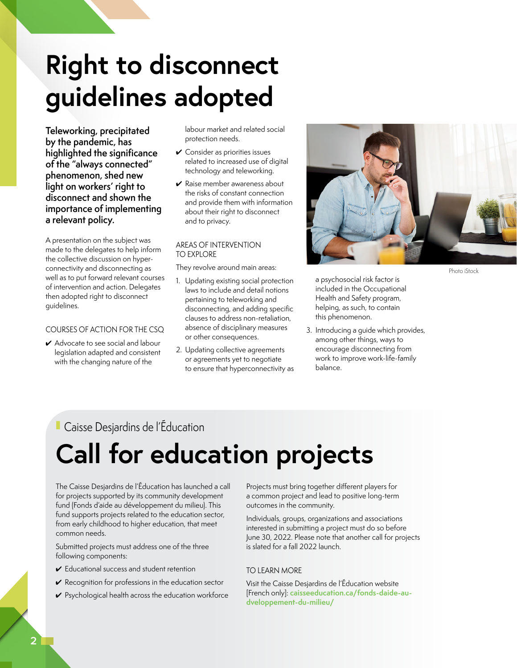# **Right to disconnect guidelines adopted**

**Teleworking, precipitated by the pandemic, has highlighted the significance of the "always connected" phenomenon, shed new light on workers' right to disconnect and shown the importance of implementing a relevant policy.** 

A presentation on the subject was made to the delegates to help inform the collective discussion on hyperconnectivity and disconnecting as well as to put forward relevant courses of intervention and action. Delegates then adopted right to disconnect guidelines.

## COURSES OF ACTION FOR THE CSQ

✔ Advocate to see social and labour legislation adapted and consistent with the changing nature of the

labour market and related social protection needs.

- $\checkmark$  Consider as priorities issues related to increased use of digital technology and teleworking.
- $\vee$  Raise member awareness about the risks of constant connection and provide them with information about their right to disconnect and to privacy.

### AREAS OF INTERVENTION TO EXPLORE

They revolve around main areas:

- 1. Updating existing social protection laws to include and detail notions pertaining to teleworking and disconnecting, and adding specific clauses to address non-retaliation, absence of disciplinary measures or other consequences.
- 2. Updating collective agreements or agreements yet to negotiate to ensure that hyperconnectivity as



a psychosocial risk factor is included in the Occupational Health and Safety program, helping, as such, to contain this phenomenon.

3. Introducing a guide which provides, among other things, ways to encourage disconnecting from work to improve work-life-family balance.

## ■ Caisse Desjardins de l'Éducation

# **Call for education projects**

The Caisse Desjardins de l'Éducation has launched a call for projects supported by its community development fund (Fonds d'aide au développement du milieu). This fund supports projects related to the education sector, from early childhood to higher education, that meet common needs.

Submitted projects must address one of the three following components:

- $\checkmark$  Educational success and student retention
- $\checkmark$  Recognition for professions in the education sector
- $\vee$  Psychological health across the education workforce

Projects must bring together different players for a common project and lead to positive long-term outcomes in the community.

Individuals, groups, organizations and associations interested in submitting a project must do so before June 30, 2022. Please note that another call for projects is slated for a fall 2022 launch.

## TO LEARN MORE

Visit the Caisse Desjardins de l'Éducation website [French only]: **[caisseeducation.ca/fonds-daide-au](https://www.caisseeducation.ca/fonds-daide-au-dveloppement-du-milieu/)[dveloppement-du-milieu/](https://www.caisseeducation.ca/fonds-daide-au-dveloppement-du-milieu/)**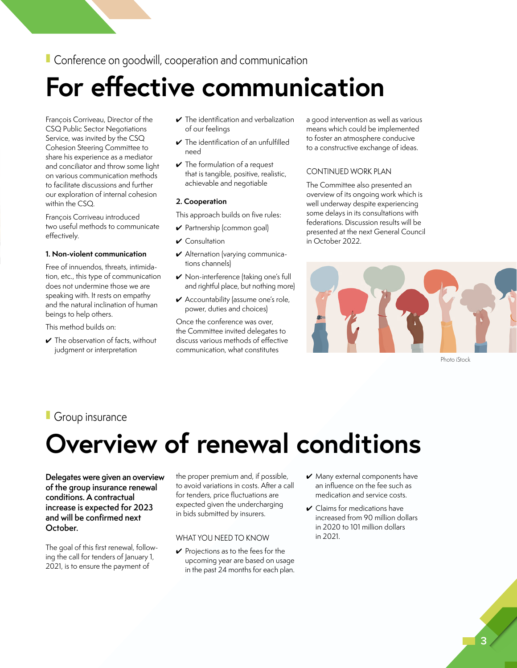■ Conference on goodwill, cooperation and communication

## **For effective communication**

François Corriveau, Director of the CSQ Public Sector Negotiations Service, was invited by the CSQ Cohesion Steering Committee to share his experience as a mediator and conciliator and throw some light on various communication methods to facilitate discussions and further our exploration of internal cohesion within the CSQ.

François Corriveau introduced two useful methods to communicate effectively.

#### **1. Non-violent communication**

Free of innuendos, threats, intimidation, etc., this type of communication does not undermine those we are speaking with. It rests on empathy and the natural inclination of human beings to help others.

This method builds on:

 $\checkmark$  The observation of facts, without judgment or interpretation

- $\checkmark$  The identification and verbalization of our feelings
- $\checkmark$  The identification of an unfulfilled need
- $\vee$  The formulation of a request that is tangible, positive, realistic, achievable and negotiable

### **2. Cooperation**

This approach builds on five rules:

- ✔ Partnership (common goal)
- ✔ Consultation
- ✔ Alternation (varying communications channels)
- ✔ Non-interference (taking one's full and rightful place, but nothing more)
- ✔ Accountability (assume one's role, power, duties and choices)

Once the conference was over, the Committee invited delegates to discuss various methods of effective communication, what constitutes

a good intervention as well as various means which could be implemented to foster an atmosphere conducive to a constructive exchange of ideas.

## CONTINUED WORK PLAN

The Committee also presented an overview of its ongoing work which is well underway despite experiencing some delays in its consultations with federations. Discussion results will be presented at the next General Council in October 2022.



Photo iStock

## ■ Group insurance

## **Overview of renewal conditions**

**Delegates were given an overview of the group insurance renewal conditions. A contractual increase is expected for 2023 and will be confirmed next October.**

The goal of this first renewal, following the call for tenders of January 1, 2021, is to ensure the payment of

the proper premium and, if possible, to avoid variations in costs. After a call for tenders, price fluctuations are expected given the undercharging in bids submitted by insurers.

## WHAT YOU NEED TO KNOW

- $\vee$  Projections as to the fees for the upcoming year are based on usage in the past 24 months for each plan.
- $\vee$  Many external components have an influence on the fee such as medication and service costs.
- $\checkmark$  Claims for medications have increased from 90 million dollars in 2020 to 101 million dollars in 2021.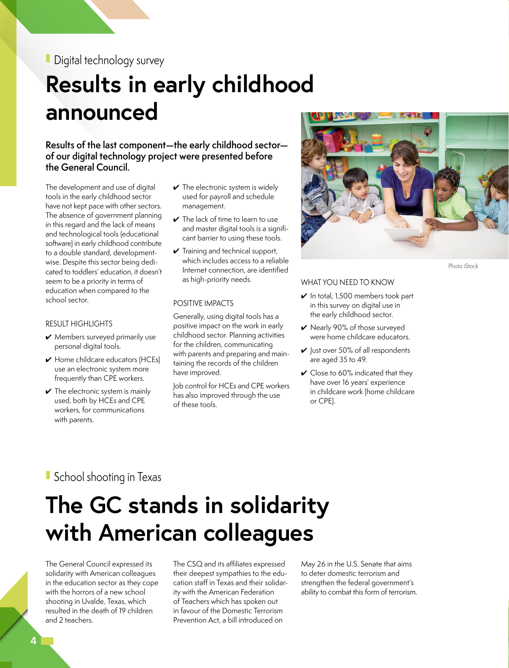## ■ Digital technology survey

## **Results in early childhood announced**

**Results of the last component—the early childhood sector of our digital technology project were presented before the General Council.**

The development and use of digital tools in the early childhood sector have not kept pace with other sectors. The absence of government planning in this regard and the lack of means and technological tools (educational software) in early childhood contribute to a double standard, developmentwise. Despite this sector being dedicated to toddlers' education, it doesn't seem to be a priority in terms of education when compared to the school sector.

### RESULT HIGHLIGHTS

- $\vee$  Members surveyed primarily use personal digital tools.
- ✔ Home childcare educators (HCEs) use an electronic system more frequently than CPE workers.
- $\checkmark$  The electronic system is mainly used, both by HCEs and CPE workers, for communications with parents.
- $\checkmark$  The electronic system is widely used for payroll and schedule management.
- $\checkmark$  The lack of time to learn to use and master digital tools is a significant barrier to using these tools.
- $\checkmark$  Training and technical support, which includes access to a reliable Internet connection, are identified as high-priority needs.

### POSITIVE IMPACTS

Generally, using digital tools has a positive impact on the work in early childhood sector. Planning activities for the children, communicating with parents and preparing and maintaining the records of the children have improved.

Job control for HCEs and CPE workers has also improved through the use of these tools.



Photo iStock

#### WHAT YOU NEED TO KNOW

- $\vee$  In total, 1,500 members took part in this survey on digital use in the early childhood sector.
- ✔ Nearly 90% of those surveyed were home childcare educators.
- $\vee$  Just over 50% of all respondents are aged 35 to 49.
- $\checkmark$  Close to 60% indicated that they have over 16 years' experience in childcare work (home childcare or CPE).

## ■ School shooting in Texas

## **The GC stands in solidarity with American colleagues**

The General Council expressed its solidarity with American colleagues in the education sector as they cope with the horrors of a new school shooting in Uvalde, Texas, which resulted in the death of 19 children and 2 teachers.

The CSQ and its affiliates expressed their deepest sympathies to the education staff in Texas and their solidarity with the American Federation of Teachers which has spoken out in favour of the Domestic Terrorism Prevention Act, a bill introduced on

May 26 in the U.S. Senate that aims to deter domestic terrorism and strengthen the federal government's ability to combat this form of terrorism.